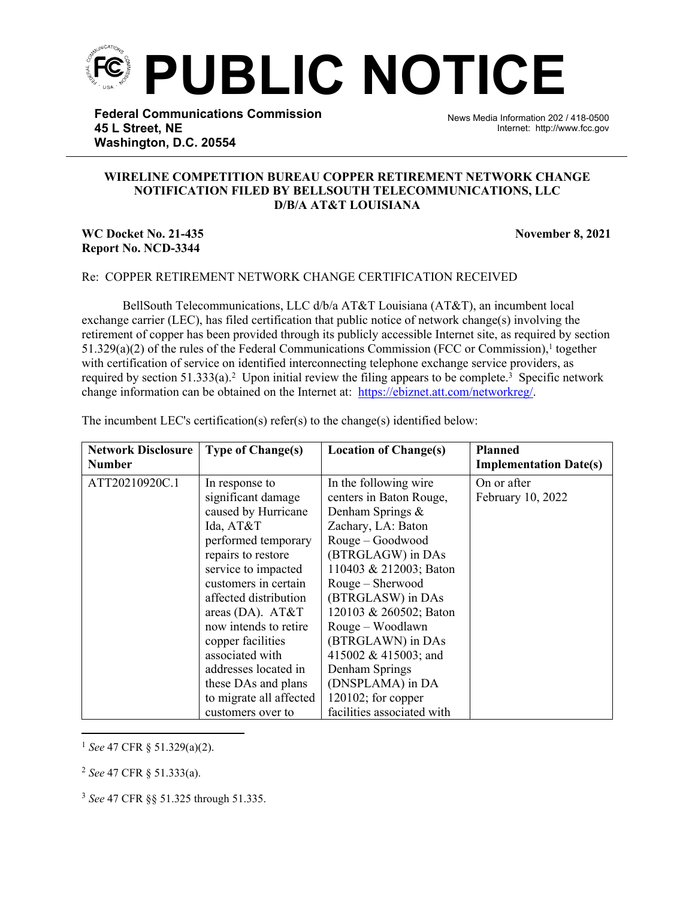

**Federal Communications Commission 45 L Street, NE Washington, D.C. 20554**

News Media Information 202 / 418-0500 Internet: http://www.fcc.gov

## **WIRELINE COMPETITION BUREAU COPPER RETIREMENT NETWORK CHANGE NOTIFICATION FILED BY BELLSOUTH TELECOMMUNICATIONS, LLC D/B/A AT&T LOUISIANA**

֡֡֡֡

## **WC Docket No. 21-435** November 8, 2021 **Report No. NCD-3344**

## Re: COPPER RETIREMENT NETWORK CHANGE CERTIFICATION RECEIVED

BellSouth Telecommunications, LLC d/b/a AT&T Louisiana (AT&T), an incumbent local exchange carrier (LEC), has filed certification that public notice of network change(s) involving the retirement of copper has been provided through its publicly accessible Internet site, as required by section  $51.329(a)(2)$  of the rules of the Federal Communications Commission (FCC or Commission),<sup>1</sup> together with certification of service on identified interconnecting telephone exchange service providers, as required by section 51.333(a).<sup>2</sup> Upon initial review the filing appears to be complete.<sup>3</sup> Specific network change information can be obtained on the Internet at: https://ebiznet.att.com/networkreg/.

| <b>Network Disclosure</b> | <b>Type of Change(s)</b> | <b>Location of Change(s)</b> | <b>Planned</b>                |
|---------------------------|--------------------------|------------------------------|-------------------------------|
| <b>Number</b>             |                          |                              | <b>Implementation Date(s)</b> |
| ATT20210920C.1            | In response to           | In the following wire        | On or after                   |
|                           | significant damage       | centers in Baton Rouge,      | February 10, 2022             |
|                           | caused by Hurricane      | Denham Springs $\&$          |                               |
|                           | Ida, AT&T                | Zachary, LA: Baton           |                               |
|                           | performed temporary      | Rouge – Goodwood             |                               |
|                           | repairs to restore       | (BTRGLAGW) in DAs            |                               |
|                           | service to impacted      | 110403 & 212003; Baton       |                               |
|                           | customers in certain     | Rouge - Sherwood             |                               |
|                           | affected distribution    | (BTRGLASW) in DAs            |                               |
|                           | areas (DA). $AT&T$       | 120103 & 260502; Baton       |                               |
|                           | now intends to retire    | Rouge – Woodlawn             |                               |
|                           | copper facilities        | (BTRGLAWN) in DAs            |                               |
|                           | associated with          | 415002 & 415003; and         |                               |
|                           | addresses located in     | Denham Springs               |                               |
|                           | these DAs and plans      | (DNSPLAMA) in DA             |                               |
|                           | to migrate all affected  | $120102$ ; for copper        |                               |
|                           | customers over to        | facilities associated with   |                               |

The incumbent LEC's certification(s) refer(s) to the change(s) identified below:

<sup>1</sup> *See* 47 CFR § 51.329(a)(2).

<sup>2</sup> *See* 47 CFR § 51.333(a).

<sup>3</sup> *See* 47 CFR §§ 51.325 through 51.335.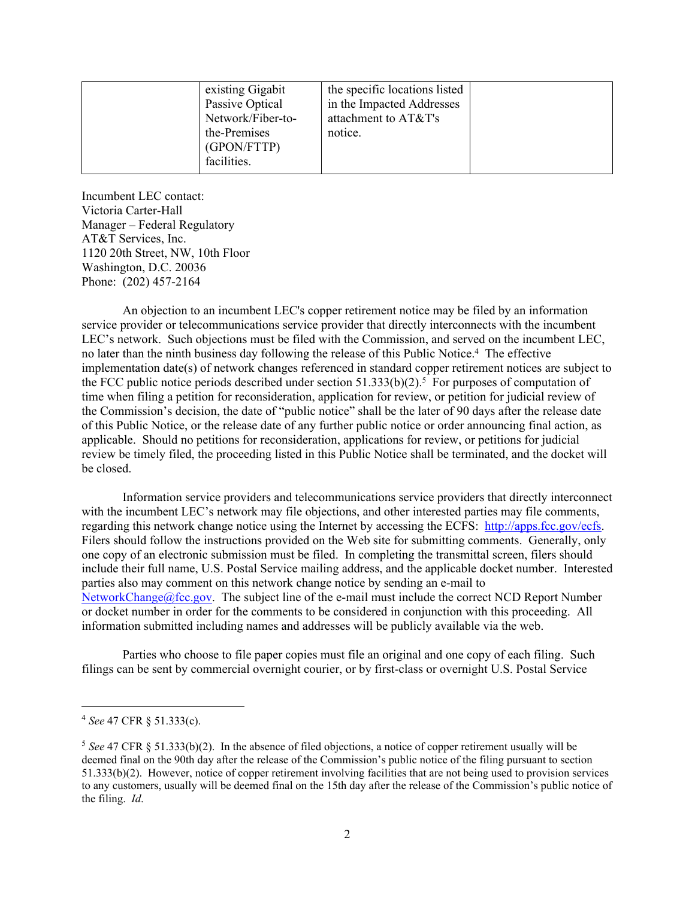| facilities. |
|-------------|
|-------------|

Incumbent LEC contact: Victoria Carter-Hall Manager – Federal Regulatory AT&T Services, Inc. 1120 20th Street, NW, 10th Floor Washington, D.C. 20036 Phone: (202) 457-2164

An objection to an incumbent LEC's copper retirement notice may be filed by an information service provider or telecommunications service provider that directly interconnects with the incumbent LEC's network. Such objections must be filed with the Commission, and served on the incumbent LEC, no later than the ninth business day following the release of this Public Notice.<sup>4</sup> The effective implementation date(s) of network changes referenced in standard copper retirement notices are subject to the FCC public notice periods described under section  $51.333(b)(2)$ .<sup>5</sup> For purposes of computation of time when filing a petition for reconsideration, application for review, or petition for judicial review of the Commission's decision, the date of "public notice" shall be the later of 90 days after the release date of this Public Notice, or the release date of any further public notice or order announcing final action, as applicable. Should no petitions for reconsideration, applications for review, or petitions for judicial review be timely filed, the proceeding listed in this Public Notice shall be terminated, and the docket will be closed.

Information service providers and telecommunications service providers that directly interconnect with the incumbent LEC's network may file objections, and other interested parties may file comments, regarding this network change notice using the Internet by accessing the ECFS: [http://apps.fcc.gov/ecfs.](http://apps.fcc.gov/ecfs) Filers should follow the instructions provided on the Web site for submitting comments. Generally, only one copy of an electronic submission must be filed. In completing the transmittal screen, filers should include their full name, U.S. Postal Service mailing address, and the applicable docket number. Interested parties also may comment on this network change notice by sending an e-mail to [NetworkChange@fcc.gov.](mailto:NetworkChange@fcc.gov) The subject line of the e-mail must include the correct NCD Report Number or docket number in order for the comments to be considered in conjunction with this proceeding. All information submitted including names and addresses will be publicly available via the web.

Parties who choose to file paper copies must file an original and one copy of each filing. Such filings can be sent by commercial overnight courier, or by first-class or overnight U.S. Postal Service

<sup>4</sup> *See* 47 CFR § 51.333(c).

<sup>5</sup> *See* 47 CFR § 51.333(b)(2). In the absence of filed objections, a notice of copper retirement usually will be deemed final on the 90th day after the release of the Commission's public notice of the filing pursuant to section 51.333(b)(2). However, notice of copper retirement involving facilities that are not being used to provision services to any customers, usually will be deemed final on the 15th day after the release of the Commission's public notice of the filing. *Id*.